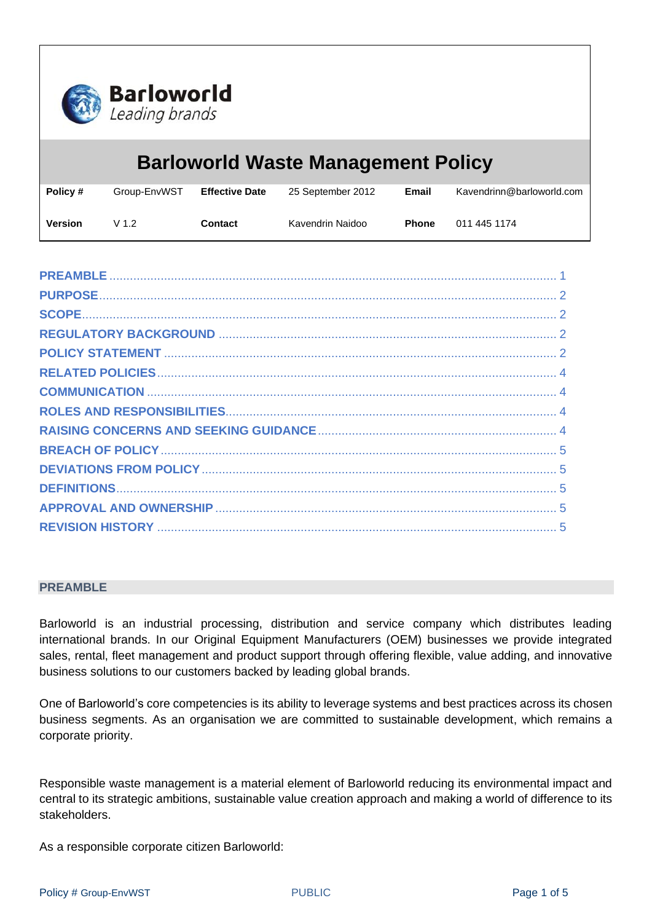

# **Barloworld Waste Management Policy Policy #** Group-EnvWST **Effective Date** 25 September 2012 **Email** Kavendrinn@barloworld.com **Version** V 1.2 **Contact** Kavendrin Naidoo **Phone** 011 445 1174

#### <span id="page-0-0"></span>**PREAMBLE**

Barloworld is an industrial processing, distribution and service company which distributes leading international brands. In our Original Equipment Manufacturers (OEM) businesses we provide integrated sales, rental, fleet management and product support through offering flexible, value adding, and innovative business solutions to our customers backed by leading global brands.

One of Barloworld's core competencies is its ability to leverage systems and best practices across its chosen business segments. As an organisation we are committed to sustainable development, which remains a corporate priority.

Responsible waste management is a material element of Barloworld reducing its environmental impact and central to its strategic ambitions, sustainable value creation approach and making a world of difference to its stakeholders.

As a responsible corporate citizen Barloworld: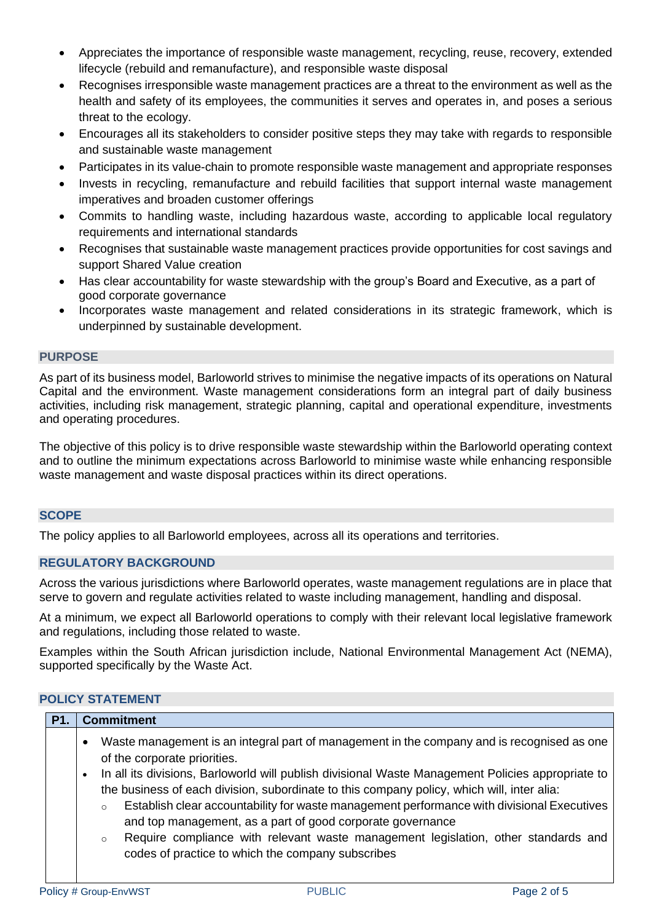- Appreciates the importance of responsible waste management, recycling, reuse, recovery, extended lifecycle (rebuild and remanufacture), and responsible waste disposal
- Recognises irresponsible waste management practices are a threat to the environment as well as the health and safety of its employees, the communities it serves and operates in, and poses a serious threat to the ecology.
- Encourages all its stakeholders to consider positive steps they may take with regards to responsible and sustainable waste management
- Participates in its value-chain to promote responsible waste management and appropriate responses
- Invests in recycling, remanufacture and rebuild facilities that support internal waste management imperatives and broaden customer offerings
- Commits to handling waste, including hazardous waste, according to applicable local regulatory requirements and international standards
- Recognises that sustainable waste management practices provide opportunities for cost savings and support Shared Value creation
- Has clear accountability for waste stewardship with the group's Board and Executive, as a part of good corporate governance
- Incorporates waste management and related considerations in its strategic framework, which is underpinned by sustainable development.

# <span id="page-1-0"></span>**PURPOSE**

As part of its business model, Barloworld strives to minimise the negative impacts of its operations on Natural Capital and the environment. Waste management considerations form an integral part of daily business activities, including risk management, strategic planning, capital and operational expenditure, investments and operating procedures.

The objective of this policy is to drive responsible waste stewardship within the Barloworld operating context and to outline the minimum expectations across Barloworld to minimise waste while enhancing responsible waste management and waste disposal practices within its direct operations.

# <span id="page-1-1"></span>**SCOPE**

<span id="page-1-2"></span>The policy applies to all Barloworld employees, across all its operations and territories.

# **REGULATORY BACKGROUND**

Across the various jurisdictions where Barloworld operates, waste management regulations are in place that serve to govern and regulate activities related to waste including management, handling and disposal.

At a minimum, we expect all Barloworld operations to comply with their relevant local legislative framework and regulations, including those related to waste.

Examples within the South African jurisdiction include, National Environmental Management Act (NEMA), supported specifically by the Waste Act.

# <span id="page-1-3"></span>**POLICY STATEMENT**

| P1. | <b>Commitment</b>                                                                                                                                                                                                                                                                                                                                                                                                                                                                                                                                                                                                                                          |
|-----|------------------------------------------------------------------------------------------------------------------------------------------------------------------------------------------------------------------------------------------------------------------------------------------------------------------------------------------------------------------------------------------------------------------------------------------------------------------------------------------------------------------------------------------------------------------------------------------------------------------------------------------------------------|
|     | Waste management is an integral part of management in the company and is recognised as one<br>of the corporate priorities.<br>In all its divisions, Barloworld will publish divisional Waste Management Policies appropriate to<br>the business of each division, subordinate to this company policy, which will, inter alia:<br>Establish clear accountability for waste management performance with divisional Executives<br>$\circ$<br>and top management, as a part of good corporate governance<br>Require compliance with relevant waste management legislation, other standards and<br>$\circ$<br>codes of practice to which the company subscribes |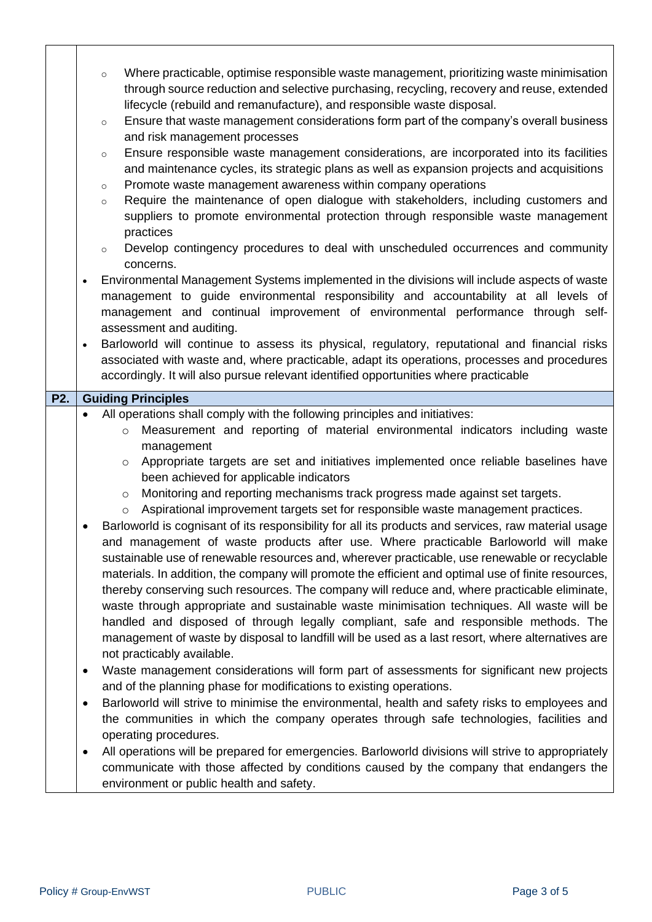|     |           | Where practicable, optimise responsible waste management, prioritizing waste minimisation<br>$\circ$<br>through source reduction and selective purchasing, recycling, recovery and reuse, extended                                                                                                                                                                                                                                                                                                                                                                                                                                                                                                                                                                                                                         |
|-----|-----------|----------------------------------------------------------------------------------------------------------------------------------------------------------------------------------------------------------------------------------------------------------------------------------------------------------------------------------------------------------------------------------------------------------------------------------------------------------------------------------------------------------------------------------------------------------------------------------------------------------------------------------------------------------------------------------------------------------------------------------------------------------------------------------------------------------------------------|
|     |           | lifecycle (rebuild and remanufacture), and responsible waste disposal.<br>Ensure that waste management considerations form part of the company's overall business<br>$\circ$<br>and risk management processes                                                                                                                                                                                                                                                                                                                                                                                                                                                                                                                                                                                                              |
|     |           | Ensure responsible waste management considerations, are incorporated into its facilities<br>$\circ$<br>and maintenance cycles, its strategic plans as well as expansion projects and acquisitions                                                                                                                                                                                                                                                                                                                                                                                                                                                                                                                                                                                                                          |
|     |           | Promote waste management awareness within company operations<br>$\circ$<br>Require the maintenance of open dialogue with stakeholders, including customers and<br>$\circ$                                                                                                                                                                                                                                                                                                                                                                                                                                                                                                                                                                                                                                                  |
|     |           | suppliers to promote environmental protection through responsible waste management<br>practices                                                                                                                                                                                                                                                                                                                                                                                                                                                                                                                                                                                                                                                                                                                            |
|     |           | Develop contingency procedures to deal with unscheduled occurrences and community<br>$\circ$<br>concerns.                                                                                                                                                                                                                                                                                                                                                                                                                                                                                                                                                                                                                                                                                                                  |
|     | $\bullet$ | Environmental Management Systems implemented in the divisions will include aspects of waste<br>management to guide environmental responsibility and accountability at all levels of<br>management and continual improvement of environmental performance through self-<br>assessment and auditing.                                                                                                                                                                                                                                                                                                                                                                                                                                                                                                                         |
|     | $\bullet$ | Barloworld will continue to assess its physical, regulatory, reputational and financial risks<br>associated with waste and, where practicable, adapt its operations, processes and procedures<br>accordingly. It will also pursue relevant identified opportunities where practicable                                                                                                                                                                                                                                                                                                                                                                                                                                                                                                                                      |
| P2. |           | <b>Guiding Principles</b>                                                                                                                                                                                                                                                                                                                                                                                                                                                                                                                                                                                                                                                                                                                                                                                                  |
|     | $\bullet$ | All operations shall comply with the following principles and initiatives:<br>Measurement and reporting of material environmental indicators including waste<br>$\circ$<br>management<br>Appropriate targets are set and initiatives implemented once reliable baselines have<br>$\circ$                                                                                                                                                                                                                                                                                                                                                                                                                                                                                                                                   |
|     |           | been achieved for applicable indicators<br>Monitoring and reporting mechanisms track progress made against set targets.<br>$\circ$                                                                                                                                                                                                                                                                                                                                                                                                                                                                                                                                                                                                                                                                                         |
|     |           | Aspirational improvement targets set for responsible waste management practices.<br>$\circ$                                                                                                                                                                                                                                                                                                                                                                                                                                                                                                                                                                                                                                                                                                                                |
|     |           | Barloworld is cognisant of its responsibility for all its products and services, raw material usage<br>and management of waste products after use. Where practicable Barloworld will make<br>sustainable use of renewable resources and, wherever practicable, use renewable or recyclable<br>materials. In addition, the company will promote the efficient and optimal use of finite resources,<br>thereby conserving such resources. The company will reduce and, where practicable eliminate,<br>waste through appropriate and sustainable waste minimisation techniques. All waste will be<br>handled and disposed of through legally compliant, safe and responsible methods. The<br>management of waste by disposal to landfill will be used as a last resort, where alternatives are<br>not practicably available. |
|     | $\bullet$ | Waste management considerations will form part of assessments for significant new projects<br>and of the planning phase for modifications to existing operations.                                                                                                                                                                                                                                                                                                                                                                                                                                                                                                                                                                                                                                                          |
|     | $\bullet$ | Barloworld will strive to minimise the environmental, health and safety risks to employees and<br>the communities in which the company operates through safe technologies, facilities and<br>operating procedures.                                                                                                                                                                                                                                                                                                                                                                                                                                                                                                                                                                                                         |
|     | $\bullet$ | All operations will be prepared for emergencies. Barloworld divisions will strive to appropriately<br>communicate with those affected by conditions caused by the company that endangers the<br>environment or public health and safety.                                                                                                                                                                                                                                                                                                                                                                                                                                                                                                                                                                                   |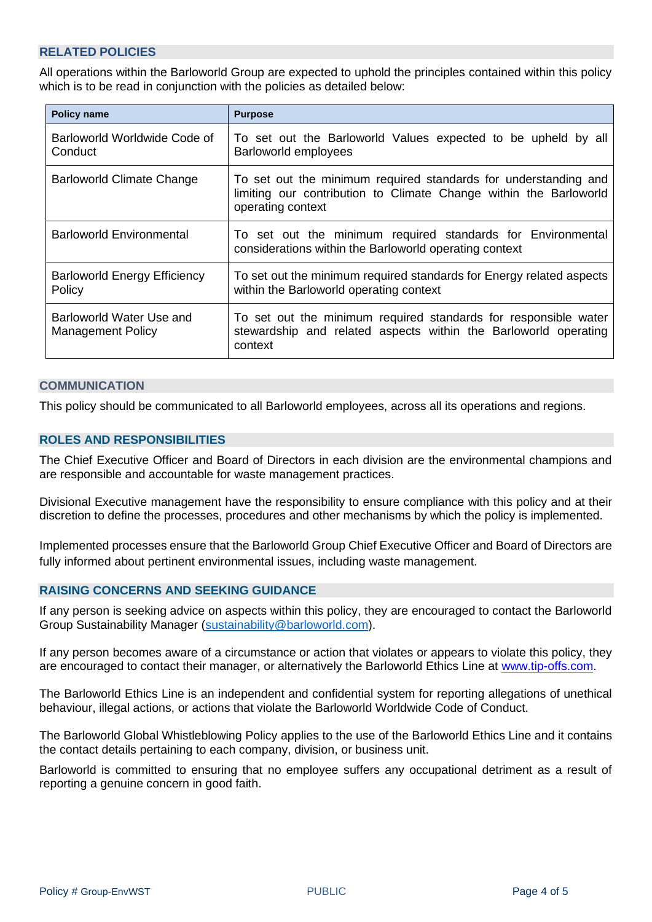# <span id="page-3-0"></span>**RELATED POLICIES**

All operations within the Barloworld Group are expected to uphold the principles contained within this policy which is to be read in conjunction with the policies as detailed below:

| <b>Policy name</b>                                   | <b>Purpose</b>                                                                                                                                            |  |
|------------------------------------------------------|-----------------------------------------------------------------------------------------------------------------------------------------------------------|--|
| Barloworld Worldwide Code of<br>Conduct              | To set out the Barloworld Values expected to be upheld by all<br>Barloworld employees                                                                     |  |
| <b>Barloworld Climate Change</b>                     | To set out the minimum required standards for understanding and<br>limiting our contribution to Climate Change within the Barloworld<br>operating context |  |
| Barloworld Environmental                             | To set out the minimum required standards for Environmental<br>considerations within the Barloworld operating context                                     |  |
| <b>Barloworld Energy Efficiency</b><br>Policy        | To set out the minimum required standards for Energy related aspects<br>within the Barloworld operating context                                           |  |
| Barloworld Water Use and<br><b>Management Policy</b> | To set out the minimum required standards for responsible water<br>stewardship and related aspects within the Barloworld operating<br>context             |  |

#### <span id="page-3-1"></span>**COMMUNICATION**

<span id="page-3-2"></span>This policy should be communicated to all Barloworld employees, across all its operations and regions.

#### **ROLES AND RESPONSIBILITIES**

The Chief Executive Officer and Board of Directors in each division are the environmental champions and are responsible and accountable for waste management practices.

Divisional Executive management have the responsibility to ensure compliance with this policy and at their discretion to define the processes, procedures and other mechanisms by which the policy is implemented.

Implemented processes ensure that the Barloworld Group Chief Executive Officer and Board of Directors are fully informed about pertinent environmental issues, including waste management.

#### <span id="page-3-3"></span>**RAISING CONCERNS AND SEEKING GUIDANCE**

If any person is seeking advice on aspects within this policy, they are encouraged to contact the Barloworld Group Sustainability Manager [\(sustainability@barloworld.com\)](mailto:sustainability@barloworld.com).

If any person becomes aware of a circumstance or action that violates or appears to violate this policy, they are encouraged to contact their manager, or alternatively the Barloworld Ethics Line at [www.tip-offs.com.](http://www.top-offs.com/)

The Barloworld Ethics Line is an independent and confidential system for reporting allegations of unethical behaviour, illegal actions, or actions that violate the Barloworld Worldwide Code of Conduct.

The Barloworld Global Whistleblowing Policy applies to the use of the Barloworld Ethics Line and it contains the contact details pertaining to each company, division, or business unit.

Barloworld is committed to ensuring that no employee suffers any occupational detriment as a result of reporting a genuine concern in good faith.